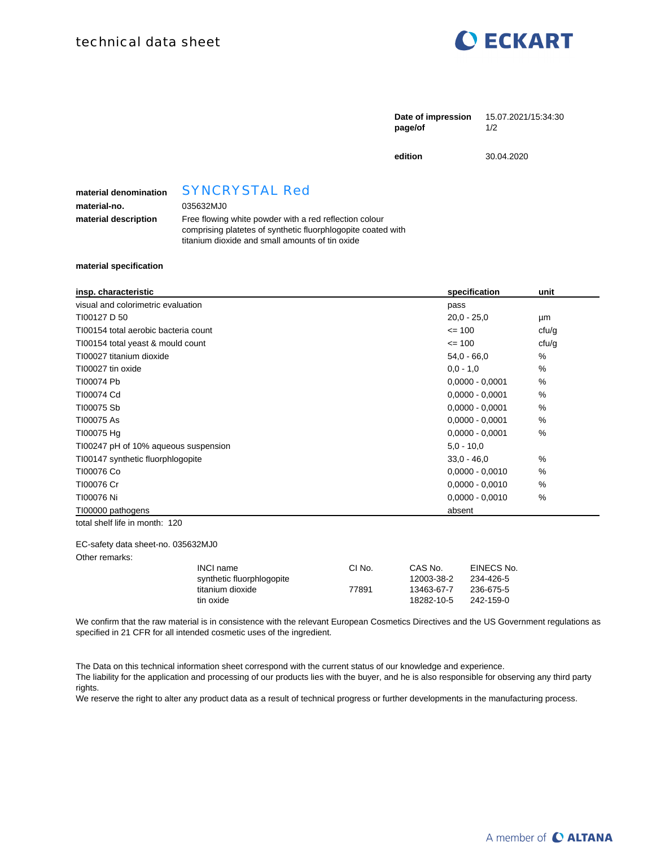

| 15.07.2021/15:34:30 |
|---------------------|
|                     |
|                     |

**edition** 30.04.2020

**material denomination** SYNCRYSTAL Red

**material-no.** 035632MJ0

## **material description** Free flowing white powder with a red reflection colour comprising platetes of synthetic fluorphlogopite coated with titanium dioxide and small amounts of tin oxide

## **material specification**

| insp. characteristic                 | specification     | unit  |
|--------------------------------------|-------------------|-------|
| visual and colorimetric evaluation   | pass              |       |
| TI00127 D 50                         | $20,0 - 25,0$     | μm    |
| TI00154 total aerobic bacteria count | $\leq$ 100        | cfu/g |
| T100154 total yeast & mould count    | $= 100$           | ctu/g |
| TI00027 titanium dioxide             | $54.0 - 66.0$     | %     |
| TI00027 tin oxide                    | $0.0 - 1.0$       | %     |
| T100074 Pb                           | $0,0000 - 0,0001$ | %     |
| TI00074 Cd                           | $0,0000 - 0,0001$ | %     |
| T100075 Sb                           | $0,0000 - 0,0001$ | %     |
| T100075 As                           | $0,0000 - 0,0001$ | %     |
| T100075 Hg                           | $0,0000 - 0,0001$ | %     |
| T100247 pH of 10% aqueous suspension | $5.0 - 10.0$      |       |
| TI00147 synthetic fluorphlogopite    | $33.0 - 46.0$     | %     |
| TI00076 Co                           | $0,0000 - 0,0010$ | $\%$  |
| TI00076 Cr                           | $0,0000 - 0,0010$ | %     |
| TI00076 Ni                           | $0,0000 - 0,0010$ | %     |
| T100000 pathogens                    | absent            |       |
| total shelf life in month: 120       |                   |       |

EC-safety data sheet-no. 035632MJ0

Other remarks:

| CI No. | CAS No.    | EINECS No. |
|--------|------------|------------|
|        | 12003-38-2 | 234-426-5  |
| 77891  | 13463-67-7 | 236-675-5  |
|        | 18282-10-5 | 242-159-0  |
|        |            |            |

We confirm that the raw material is in consistence with the relevant European Cosmetics Directives and the US Government regulations as specified in 21 CFR for all intended cosmetic uses of the ingredient.

The Data on this technical information sheet correspond with the current status of our knowledge and experience. The liability for the application and processing of our products lies with the buyer, and he is also responsible for observing any third party rights.

We reserve the right to alter any product data as a result of technical progress or further developments in the manufacturing process.